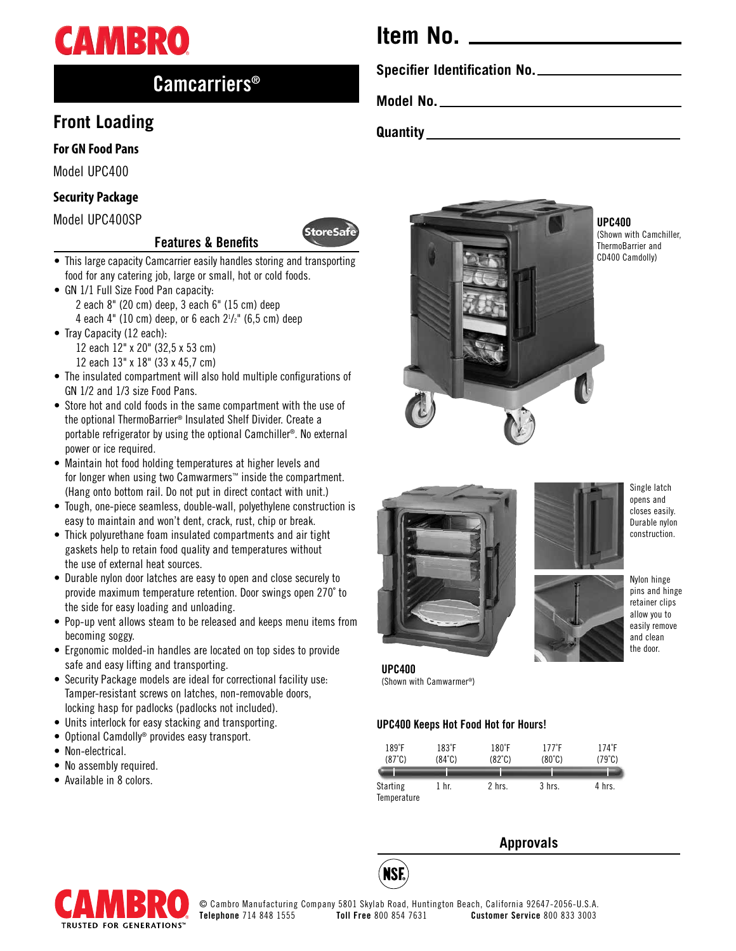

# Camcarriers®

# **Front Loading**

### **For GN Food Pans**

Model UPC400

## **Security Package**

Model UPC400SP

# Features & Benefits



- This large capacity Camcarrier easily handles storing and transporting food for any catering job, large or small, hot or cold foods.
- GN 1/1 Full Size Food Pan capacity: 2 each 8" (20 cm) deep, 3 each 6" (15 cm) deep 4 each 4" (10 cm) deep, or 6 each  $2^{1}/2$ " (6,5 cm) deep
- Tray Capacity (12 each): 12 each 12" x 20" (32,5 x 53 cm) 12 each 13" x 18" (33 x 45,7 cm)
- The insulated compartment will also hold multiple configurations of GN 1/2 and 1/3 size Food Pans.
- Store hot and cold foods in the same compartment with the use of the optional ThermoBarrier® Insulated Shelf Divider. Create a portable refrigerator by using the optional Camchiller®. No external power or ice required.
- Maintain hot food holding temperatures at higher levels and for longer when using two Camwarmers™ inside the compartment. (Hang onto bottom rail. Do not put in direct contact with unit.)
- Tough, one-piece seamless, double-wall, polyethylene construction is easy to maintain and won't dent, crack, rust, chip or break.
- Thick polyurethane foam insulated compartments and air tight gaskets help to retain food quality and temperatures without the use of external heat sources.
- Durable nylon door latches are easy to open and close securely to provide maximum temperature retention. Door swings open 270˚ to the side for easy loading and unloading.
- Pop-up vent allows steam to be released and keeps menu items from becoming soggy.
- Ergonomic molded-in handles are located on top sides to provide safe and easy lifting and transporting.
- Security Package models are ideal for correctional facility use: Tamper-resistant screws on latches, non-removable doors, locking hasp for padlocks (padlocks not included).
- Units interlock for easy stacking and transporting.
- Optional Camdolly® provides easy transport.
- Non-electrical.
- No assembly required.
- Available in 8 colors.

# **Item No.**

**Specifier Identification No.**

**Model No.**

**Quantity**



UPC400

(Shown with Camchiller, ThermoBarrier and CD400 Camdolly)





Nylon hinge pins and hinge retainer clips allow you to easily remove and clean

the door.

UPC400 (Shown with Camwarmer®)

#### UPC400 Keeps Hot Food Hot for Hours!

| $189°$ F<br>(87°C)             | $183^{\circ}$ F<br>$(84^{\circ}C)$ | $180^{\circ}$ F<br>$(82^{\circ}C)$ | $177^{\circ}$ F<br>$(80^{\circ}C)$ | $174^{\circ}F$<br>(79°C) |
|--------------------------------|------------------------------------|------------------------------------|------------------------------------|--------------------------|
|                                |                                    |                                    |                                    |                          |
| <b>Starting</b><br>Temperature | 1 hr.                              | 2 hrs.                             | 3 hrs.                             | 4 hrs.                   |

# **Approvals**



**NSF**